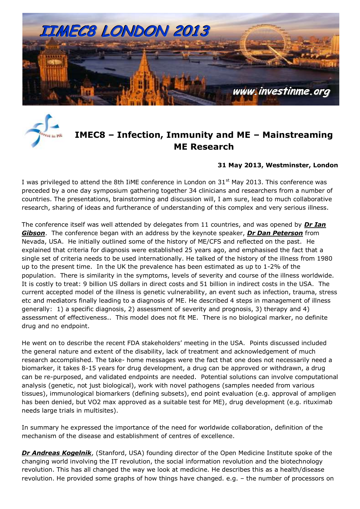



### **IMEC8 – Infection, Immunity and ME – Mainstreaming ME Research**

#### **31 May 2013, Westminster, London**

I was privileged to attend the 8th IiME conference in London on  $31<sup>st</sup>$  May 2013. This conference was preceded by a one day symposium gathering together 34 clinicians and researchers from a number of countries. The presentations, brainstorming and discussion will, I am sure, lead to much collaborative research, sharing of ideas and furtherance of understanding of this complex and very serious illness.

The conference itself was well attended by delegates from 11 countries, and was opened by *[Dr Ian](file:///C:/Users/lento/Documents/IiME/IiME%20.org%20V2013-01/IiME%20Conference%202013/IIMEC8%20Agenda.htm%23Ian0)  [Gibson](file:///C:/Users/lento/Documents/IiME/IiME%20.org%20V2013-01/IiME%20Conference%202013/IIMEC8%20Agenda.htm%23Ian0)*. The conference began with an address by the keynote speaker, *[Dr Dan Peterson](file:///C:/Users/lento/Documents/IiME/IiME%20.org%20V2013-01/IiME%20Conference%202013/IIMEC8%20Agenda.htm%23Dan)* from Nevada, USA. He initially outlined some of the history of ME/CFS and reflected on the past. He explained that criteria for diagnosis were established 25 years ago, and emphasised the fact that a single set of criteria needs to be used internationally. He talked of the history of the illness from 1980 up to the present time. In the UK the prevalence has been estimated as up to 1-2% of the population. There is similarity in the symptoms, levels of severity and course of the illness worldwide. It is costly to treat: 9 billion US dollars in direct costs and 51 billion in indirect costs in the USA. The current accepted model of the illness is genetic vulnerability, an event such as infection, trauma, stress etc and mediators finally leading to a diagnosis of ME. He described 4 steps in management of illness generally: 1) a specific diagnosis, 2) assessment of severity and prognosis, 3) therapy and 4) assessment of effectiveness.. This model does not fit ME. There is no biological marker, no definite drug and no endpoint.

He went on to describe the recent FDA stakeholders' meeting in the USA. Points discussed included the general nature and extent of the disability, lack of treatment and acknowledgement of much research accomplished. The take- home messages were the fact that one does not necessarily need a biomarker, it takes 8-15 years for drug development, a drug can be approved or withdrawn, a drug can be re-purposed, and validated endpoints are needed. Potential solutions can involve computational analysis (genetic, not just biological), work with novel pathogens (samples needed from various tissues), immunological biomarkers (defining subsets), end point evaluation (e.g. approval of ampligen has been denied, but VO2 max approved as a suitable test for ME), drug development (e.g. rituximab needs large trials in multisites).

In summary he expressed the importance of the need for worldwide collaboration, definition of the mechanism of the disease and establishment of centres of excellence.

**[Dr Andreas Kogelnik](file:///C:/Users/lento/Documents/IiME/IiME%20.org%20V2013-01/IiME%20Conference%202013/IIMEC8%20Agenda.htm%23Andreas)**, (Stanford, USA) founding director of the Open Medicine Institute spoke of the changing world involving the IT revolution, the social information revolution and the biotechnology revolution. This has all changed the way we look at medicine. He describes this as a health/disease revolution. He provided some graphs of how things have changed. e.g. – the number of processors on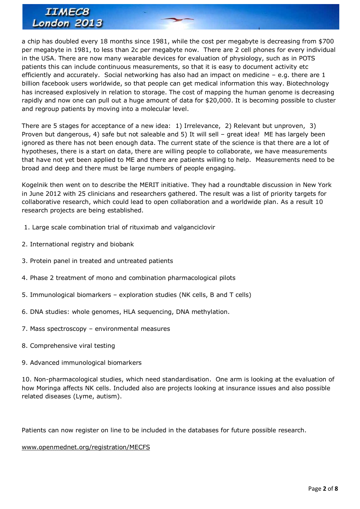a chip has doubled every 18 months since 1981, while the cost per megabyte is decreasing from \$700 per megabyte in 1981, to less than 2c per megabyte now. There are 2 cell phones for every individual in the USA. There are now many wearable devices for evaluation of physiology, such as in POTS patients this can include continuous measurements, so that it is easy to document activity etc efficiently and accurately. Social networking has also had an impact on medicine – e.g. there are 1 billion facebook users worldwide, so that people can get medical information this way. Biotechnology has increased explosively in relation to storage. The cost of mapping the human genome is decreasing rapidly and now one can pull out a huge amount of data for \$20,000. It is becoming possible to cluster and regroup patients by moving into a molecular level.

There are 5 stages for acceptance of a new idea: 1) Irrelevance, 2) Relevant but unproven, 3) Proven but dangerous, 4) safe but not saleable and 5) It will sell – great idea! ME has largely been ignored as there has not been enough data. The current state of the science is that there are a lot of hypotheses, there is a start on data, there are willing people to collaborate, we have measurements that have not yet been applied to ME and there are patients willing to help. Measurements need to be broad and deep and there must be large numbers of people engaging.

Kogelnik then went on to describe the MERIT initiative. They had a roundtable discussion in New York in June 2012 with 25 clinicians and researchers gathered. The result was a list of priority targets for collaborative research, which could lead to open collaboration and a worldwide plan. As a result 10 research projects are being established.

- 1. Large scale combination trial of rituximab and valganciclovir
- 2. International registry and biobank
- 3. Protein panel in treated and untreated patients
- 4. Phase 2 treatment of mono and combination pharmacological pilots
- 5. Immunological biomarkers exploration studies (NK cells, B and T cells)
- 6. DNA studies: whole genomes, HLA sequencing, DNA methylation.
- 7. Mass spectroscopy environmental measures
- 8. Comprehensive viral testing
- 9. Advanced immunological biomarkers

10. Non-pharmacological studies, which need standardisation. One arm is looking at the evaluation of how Moringa affects NK cells. Included also are projects looking at insurance issues and also possible related diseases (Lyme, autism).

Patients can now register on line to be included in the databases for future possible research.

#### [www.openmednet.org/registration/MECFS](http://www.openmednet.org/registration/MECFS)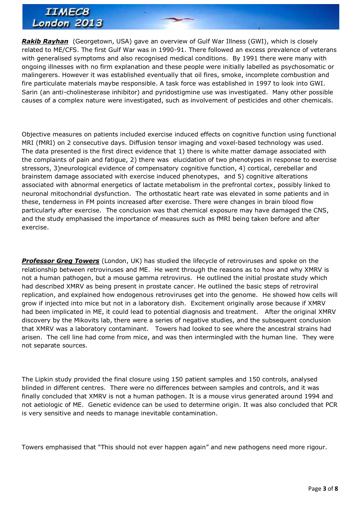*[Rakib Rayhan](file:///C:/Users/lento/Documents/IiME/IiME%20.org%20V2013-01/IiME%20Conference%202013/IIMEC8%20Agenda.htm%23Rakib)* (Georgetown, USA) gave an overview of Gulf War Illness (GWI), which is closely related to ME/CFS. The first Gulf War was in 1990-91. There followed an excess prevalence of veterans with generalised symptoms and also recognised medical conditions. By 1991 there were many with ongoing illnesses with no firm explanation and these people were initially labelled as psychosomatic or malingerers. However it was established eventually that oil fires, smoke, incomplete combustion and fire particulate materials maybe responsible. A task force was established in 1997 to look into GWI. Sarin (an anti-cholinesterase inhibitor) and pyridostigmine use was investigated. Many other possible causes of a complex nature were investigated, such as involvement of pesticides and other chemicals.

Objective measures on patients included exercise induced effects on cognitive function using functional MRI (fMRI) on 2 consecutive days. Diffusion tensor imaging and voxel-based technology was used. The data presented is the first direct evidence that 1) there is white matter damage associated with the complaints of pain and fatigue, 2) there was elucidation of two phenotypes in response to exercise stressors, 3)neurological evidence of compensatory cognitive function, 4) cortical, cerebellar and brainstem damage associated with exercise induced phenotypes, and 5) cognitive alterations associated with abnormal energetics of lactate metabolism in the prefrontal cortex, possibly linked to neuronal mitochondrial dysfunction. The orthostatic heart rate was elevated in some patients and in these, tenderness in FM points increased after exercise. There were changes in brain blood flow particularly after exercise. The conclusion was that chemical exposure may have damaged the CNS, and the study emphasised the importance of measures such as fMRI being taken before and after exercise.

**[Professor Greg Towers](file:///C:/Users/lento/Documents/IiME/IiME%20.org%20V2013-01/IiME%20Conference%202013/IIMEC8%20Agenda.htm%23Greg)** (London, UK) has studied the lifecycle of retroviruses and spoke on the relationship between retroviruses and ME. He went through the reasons as to how and why XMRV is not a human pathogen, but a mouse gamma retrovirus. He outlined the initial prostate study which had described XMRV as being present in prostate cancer. He outlined the basic steps of retroviral replication, and explained how endogenous retroviruses get into the genome. He showed how cells will grow if injected into mice but not in a laboratory dish. Excitement originally arose because if XMRV had been implicated in ME, it could lead to potential diagnosis and treatment. After the original XMRV discovery by the Mikovits lab, there were a series of negative studies, and the subsequent conclusion that XMRV was a laboratory contaminant. Towers had looked to see where the ancestral strains had arisen. The cell line had come from mice, and was then intermingled with the human line. They were not separate sources.

The Lipkin study provided the final closure using 150 patient samples and 150 controls, analysed blinded in different centres. There were no differences between samples and controls, and it was finally concluded that XMRV is not a human pathogen. It is a mouse virus generated around 1994 and not aetiologic of ME. Genetic evidence can be used to determine origin. It was also concluded that PCR is very sensitive and needs to manage inevitable contamination.

Towers emphasised that "This should not ever happen again" and new pathogens need more rigour.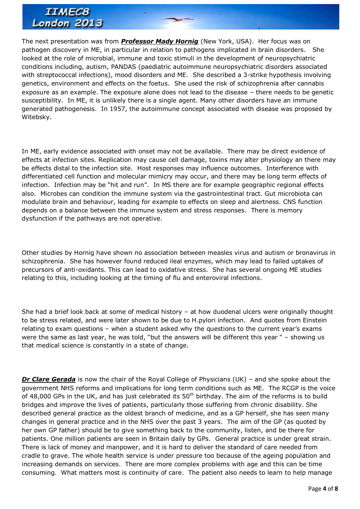The next presentation was from *[Professor Mady Hornig](file:///C:/Users/lento/Documents/IiME/IiME%20.org%20V2013-01/IiME%20Conference%202013/IIMEC8%20Agenda.htm%23Mady)* (New York, USA). Her focus was on pathogen discovery in ME, in particular in relation to pathogens implicated in brain disorders. She looked at the role of microbial, immune and toxic stimuli in the development of neuropsychiatric conditions including, autism, PANDAS (paediatric autoimmune neuropsychiatric disorders associated with streptococcal infections), mood disorders and ME. She described a 3-strike hypothesis involving genetics, environment and effects on the foetus. She used the risk of schizophrenia after cannabis exposure as an example. The exposure alone does not lead to the disease – there needs to be genetic susceptibility. In ME, it is unlikely there is a single agent. Many other disorders have an immune generated pathogenesis. In 1957, the autoimmune concept associated with disease was proposed by Witebsky.

In ME, early evidence associated with onset may not be available. There may be direct evidence of effects at infection sites. Replication may cause cell damage, toxins may alter physiology an there may be effects distal to the infection site. Host responses may influence outcomes. Interference with differentiated cell function and molecular mimicry may occur, and there may be long term effects of infection. Infection may be "hit and run". In MS there are for example geographic regional effects also. Microbes can condition the immune system via the gastrointestinal tract. Gut microbiota can modulate brain and behaviour, leading for example to effects on sleep and alertness. CNS function depends on a balance between the immune system and stress responses. There is memory dysfunction if the pathways are not operative.

Other studies by Hornig have shown no association between measles virus and autism or bronavirus in schizophrenia. She has however found reduced ileal enzymes, which may lead to failed uptakes of precursors of anti-oxidants. This can lead to oxidative stress. She has several ongoing ME studies relating to this, including looking at the timing of flu and enteroviral infections.

She had a brief look back at some of medical history – at how duodenal ulcers were originally thought to be stress related, and were later shown to be due to H.pylori infection. And quotes from Einstein relating to exam questions – when a student asked why the questions to the current year's exams were the same as last year, he was told, "but the answers will be different this year " – showing us that medical science is constantly in a state of change.

*[Dr Clare Gerada](file:///C:/Users/lento/Documents/IiME/IiME%20.org%20V2013-01/IiME%20Conference%202013/IIMEC8%20Agenda.htm%23Clare)* is now the chair of the Royal College of Physicians (UK) – and she spoke about the government NHS reforms and implications for long term conditions such as ME. The RCGP is the voice of 48,000 GPs in the UK, and has just celebrated its 50<sup>th</sup> birthday. The aim of the reforms is to build bridges and improve the lives of patients, particularly those suffering from chronic disability. She described general practice as the oldest branch of medicine, and as a GP herself, she has seen many changes in general practice and in the NHS over the past 3 years. The aim of the GP (as quoted by her own GP father) should be to give something back to the community, listen, and be there for patients. One million patients are seen in Britain daily by GPs. General practice is under great strain. There is lack of money and manpower, and it is hard to deliver the standard of care needed from cradle to grave. The whole health service is under pressure too because of the ageing population and increasing demands on services. There are more complex problems with age and this can be time consuming. What matters most is continuity of care. The patient also needs to learn to help manage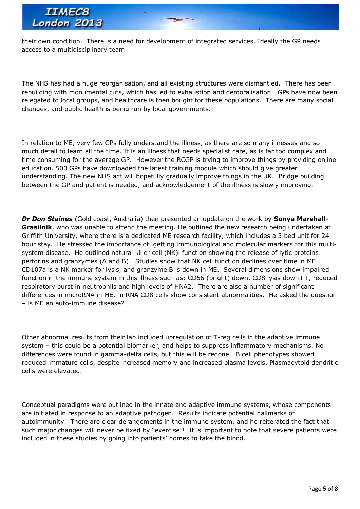

their own condition. There is a need for development of integrated services. Ideally the GP needs access to a multidisciplinary team.

The NHS has had a huge reorganisation, and all existing structures were dismantled. There has been rebuilding with monumental cuts, which has led to exhaustion and demoralisation. GPs have now been relegated to local groups, and healthcare is then bought for these populations. There are many social changes, and public health is being run by local governments.

In relation to ME, very few GPs fully understand the illness, as there are so many illnesses and so much detail to learn all the time. It is an illness that needs specialist care, as is far too complex and time consuming for the average GP. However the RCGP is trying to improve things by providing online education. 500 GPs have downloaded the latest training module which should give greater understanding. The new NHS act will hopefully gradually improve things in the UK. Bridge building between the GP and patient is needed, and acknowledgement of the illness is slowly improving.

*[Dr Don Staines](file:///C:/Users/lento/Documents/IiME/IiME%20.org%20V2013-01/IiME%20Conference%202013/IIMEC8%20Agenda.htm%23Sonya)* (Gold coast, Australia) then presented an update on the work by **Sonya Marshall-Grasilnik**, who was unable to attend the meeting. He outlined the new research being undertaken at Griffith University, where there is a dedicated ME research facility, which includes a 3 bed unit for 24 hour stay. He stressed the importance of getting immunological and molecular markers for this multisystem disease. He outlined natural killer cell (NK)l function showing the release of lytic proteins: perforins and granzymes (A and B). Studies show that NK cell function declines over time in ME. CD107a is a NK marker for lysis, and granzyme B is down in ME. Several dimensions show impaired function in the immune system in this illness such as: CD56 (bright) down, CD8 lysis down++, reduced respiratory burst in neutrophils and high levels of HNA2. There are also a number of significant differences in microRNA in ME. mRNA CD8 cells show consistent abnormalities. He asked the question – is ME an auto-immune disease?

Other abnormal results from their lab included upregulation of T-reg cells in the adaptive immune system – this could be a potential biomarker, and helps to suppress inflammatory mechanisms. No differences were found in gamma-delta cells, but this will be redone. B cell phenotypes showed reduced immature cells, despite increased memory and increased plasma levels. Plasmacytoid dendritic cells were elevated.

Conceptual paradigms were outlined in the innate and adaptive immune systems, whose components are initiated in response to an adaptive pathogen. Results indicate potential hallmarks of autoimmunity. There are clear derangements in the immune system, and he reiterated the fact that such major changes will never be fixed by "exercise"! It is important to note that severe patients were included in these studies by going into patients' homes to take the blood.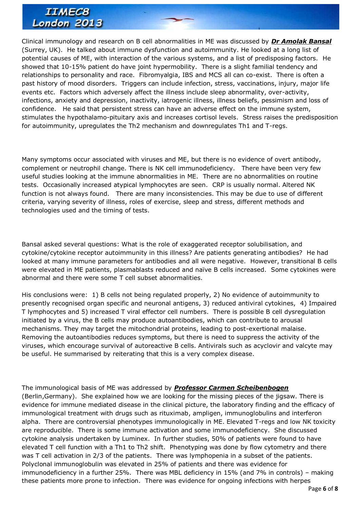Clinical immunology and research on B cell abnormalities in ME was discussed by *[Dr Amolak Bansal](file:///C:/Users/lento/Documents/IiME/IiME%20.org%20V2013-01/IiME%20Conference%202013/IIMEC8%20Agenda.htm%23Amolak)* (Surrey, UK). He talked about immune dysfunction and autoimmunity. He looked at a long list of potential causes of ME, with interaction of the various systems, and a list of predisposing factors. He showed that 10-15% patient do have joint hypermobility. There is a slight familial tendency and relationships to personality and race. Fibromyalgia, IBS and MCS all can co-exist. There is often a past history of mood disorders. Triggers can include infection, stress, vaccinations, injury, major life events etc. Factors which adversely affect the illness include sleep abnormality, over-activity, infections, anxiety and depression, inactivity, iatrogenic illness, illness beliefs, pessimism and loss of confidence. He said that persistent stress can have an adverse effect on the immune system, stimulates the hypothalamo-pituitary axis and increases cortisol levels. Stress raises the predisposition for autoimmunity, upregulates the Th2 mechanism and downregulates Th1 and T-regs.

Many symptoms occur associated with viruses and ME, but there is no evidence of overt antibody, complement or neutrophil change. There is NK cell immunodeficiency. There have been very few useful studies looking at the immune abnormalities in ME. There are no abnormalities on routine tests. Occasionally increased atypical lymphocytes are seen. CRP is usually normal. Altered NK function is not always found. There are many inconsistencies. This may be due to use of different criteria, varying severity of illness, roles of exercise, sleep and stress, different methods and technologies used and the timing of tests.

Bansal asked several questions: What is the role of exaggerated receptor solubilisation, and cytokine/cytokine receptor autoimmunity in this illness? Are patients generating antibodies? He had looked at many immune parameters for antibodies and all were negative. However, transitional B cells were elevated in ME patients, plasmablasts reduced and naïve B cells increased. Some cytokines were abnormal and there were some T cell subset abnormalities.

His conclusions were: 1) B cells not being regulated properly, 2) No evidence of autoimmunity to presently recognised organ specific and neuronal antigens, 3) reduced antiviral cytokines, 4) Impaired T lymphocytes and 5) increased T viral effector cell numbers. There is possible B cell dysregulation initiated by a virus, the B cells may produce autoantibodies, which can contribute to arousal mechanisms. They may target the mitochondrial proteins, leading to post-exertional malaise. Removing the autoantibodies reduces symptoms, but there is need to suppress the activity of the viruses, which encourage survival of autoreactive B cells. Antivirals such as acyclovir and valcyte may be useful. He summarised by reiterating that this is a very complex disease.

The immunological basis of ME was addressed by *[Professor Carmen Scheibenbogen](file:///C:/Users/lento/Documents/IiME/IiME%20.org%20V2013-01/IiME%20Conference%202013/IIMEC8%20Agenda.htm%23Carmen)* (Berlin,Germany). She explained how we are looking for the missing pieces of the jigsaw. There is evidence for immune mediated disease in the clinical picture, the laboratory finding and the efficacy of immunological treatment with drugs such as rituximab, ampligen, immunoglobulins and interferon alpha. There are controversial phenotypes immunologically in ME. Elevated T-regs and low NK toxicity are reproducible. There is some immune activation and some immunodeficiency. She discussed cytokine analysis undertaken by Luminex. In further studies, 50% of patients were found to have elevated T cell function with a Th1 to Th2 shift. Phenotyping was done by flow cytometry and there was T cell activation in 2/3 of the patients. There was lymphopenia in a subset of the patients. Polyclonal immunoglobulin was elevated in 25% of patients and there was evidence for immunodeficiency in a further 25%. There was MBL deficiency in 15% (and 7% in controls) – making these patients more prone to infection. There was evidence for ongoing infections with herpes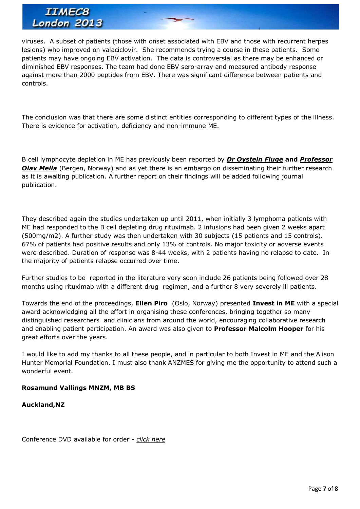viruses. A subset of patients (those with onset associated with EBV and those with recurrent herpes lesions) who improved on valaciclovir. She recommends trying a course in these patients. Some patients may have ongoing EBV activation. The data is controversial as there may be enhanced or diminished EBV responses. The team had done EBV sero-array and measured antibody response against more than 2000 peptides from EBV. There was significant difference between patients and controls.

The conclusion was that there are some distinct entities corresponding to different types of the illness. There is evidence for activation, deficiency and non-immune ME.

B cell lymphocyte depletion in ME has previously been reported by *[Dr Oystein Fluge](file:///C:/Users/lento/Documents/IiME/IiME%20.org%20V2013-01/IiME%20Conference%202013/IIMEC8%20Agenda.htm%23Dr_Øystein_Fluge)* **and** *[Professor](file:///C:/Users/lento/Documents/IiME/IiME%20.org%20V2013-01/IiME%20Conference%202013/IIMEC8%20Agenda.htm%23Olav0)*  **[Olav Mella](file:///C:/Users/lento/Documents/IiME/IiME%20.org%20V2013-01/IiME%20Conference%202013/IIMEC8%20Agenda.htm%23Olav0)** (Bergen, Norway) and as yet there is an embargo on disseminating their further research as it is awaiting publication. A further report on their findings will be added following journal publication.

They described again the studies undertaken up until 2011, when initially 3 lymphoma patients with ME had responded to the B cell depleting drug rituximab. 2 infusions had been given 2 weeks apart (500mg/m2). A further study was then undertaken with 30 subjects (15 patients and 15 controls). 67% of patients had positive results and only 13% of controls. No major toxicity or adverse events were described. Duration of response was 8-44 weeks, with 2 patients having no relapse to date. In the majority of patients relapse occurred over time.

Further studies to be reported in the literature very soon include 26 patients being followed over 28 months using rituximab with a different drug regimen, and a further 8 very severely ill patients.

Towards the end of the proceedings, **Ellen Piro** (Oslo, Norway) presented **Invest in ME** with a special award acknowledging all the effort in organising these conferences, bringing together so many distinguished researchers and clinicians from around the world, encouraging collaborative research and enabling patient participation. An award was also given to **Professor Malcolm Hooper** for his great efforts over the years.

I would like to add my thanks to all these people, and in particular to both Invest in ME and the Alison Hunter Memorial Foundation. I must also thank ANZMES for giving me the opportunity to attend such a wonderful event.

#### **Rosamund Vallings MNZM, MB BS**

#### **Auckland,NZ**

Conference DVD available for order - *[click here](file:///C:/Users/lento/Documents/IiME/IiME%20.org%20V2013-01/IiME%20Conference%202013/IiMEC8%202013%20DVD%20Order.htm)*